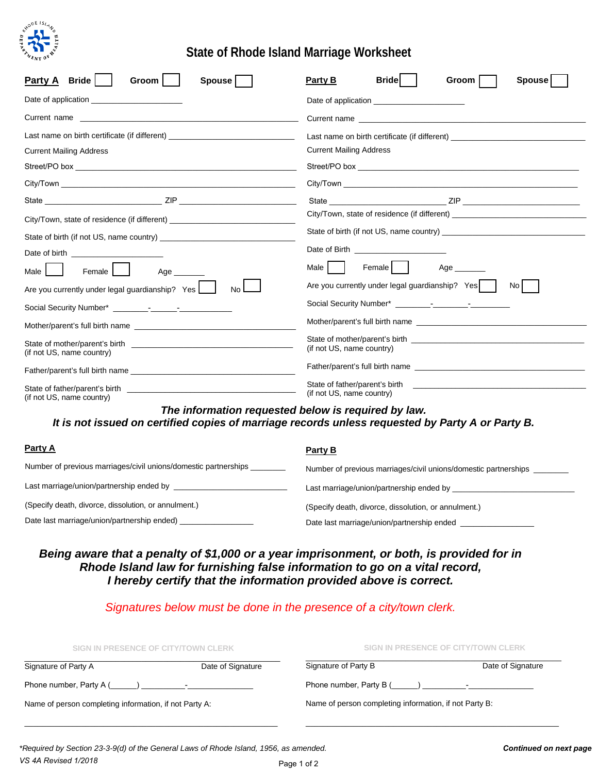

# **State of Rhode Island Marriage Worksheet**

| Party A Bride<br>Groom<br><b>Spouse</b>                                                                                                                 | <b>Bride</b><br>Party B<br><b>Spouse</b><br>Groom                                                                                                                                                                                                 |  |  |
|---------------------------------------------------------------------------------------------------------------------------------------------------------|---------------------------------------------------------------------------------------------------------------------------------------------------------------------------------------------------------------------------------------------------|--|--|
|                                                                                                                                                         |                                                                                                                                                                                                                                                   |  |  |
|                                                                                                                                                         | Current name                                                                                                                                                                                                                                      |  |  |
| Last name on birth certificate (if different)                                                                                                           | Last name on birth certificate (if different) __________________________________                                                                                                                                                                  |  |  |
| <b>Current Mailing Address</b>                                                                                                                          | <b>Current Mailing Address</b>                                                                                                                                                                                                                    |  |  |
|                                                                                                                                                         |                                                                                                                                                                                                                                                   |  |  |
|                                                                                                                                                         |                                                                                                                                                                                                                                                   |  |  |
|                                                                                                                                                         |                                                                                                                                                                                                                                                   |  |  |
| City/Town, state of residence (if different)                                                                                                            | City/Town, state of residence (if different) ___________________________________<br>State of birth (if not US, name country)<br>Male    <br>Female   I<br>$Age$ <sub>________</sub><br>Are you currently under legal guardianship? Yes  <br>-No I |  |  |
|                                                                                                                                                         |                                                                                                                                                                                                                                                   |  |  |
| Date of birth <b>Exercise 2008</b>                                                                                                                      |                                                                                                                                                                                                                                                   |  |  |
| Female<br>Male I<br>Age _______                                                                                                                         |                                                                                                                                                                                                                                                   |  |  |
| Are you currently under legal guardianship? Yes<br>No.                                                                                                  |                                                                                                                                                                                                                                                   |  |  |
|                                                                                                                                                         |                                                                                                                                                                                                                                                   |  |  |
| Mother/parent's full birth name                                                                                                                         |                                                                                                                                                                                                                                                   |  |  |
| (if not US, name country)                                                                                                                               | (if not US, name country)<br>Father/parent's full birth name<br>(if not US, name country)                                                                                                                                                         |  |  |
|                                                                                                                                                         |                                                                                                                                                                                                                                                   |  |  |
| (if not US, name country)                                                                                                                               |                                                                                                                                                                                                                                                   |  |  |
| The information requested below is required by law.<br>It is not issued on certified copies of marriage records unless requested by Party A or Party B. |                                                                                                                                                                                                                                                   |  |  |

| <b>Party A</b>                                                           | Party B                                                         |
|--------------------------------------------------------------------------|-----------------------------------------------------------------|
| Number of previous marriages/civil unions/domestic partnerships ________ | Number of previous marriages/civil unions/domestic partnerships |
|                                                                          | Last marriage/union/partnership ended by                        |
| (Specify death, divorce, dissolution, or annulment.)                     | (Specify death, divorce, dissolution, or annulment.)            |
| Date last marriage/union/partnership ended)                              | Date last marriage/union/partnership ended                      |

#### *Being aware that a penalty of \$1,000 or a year imprisonment, or both, is provided for in Rhode Island law for furnishing false information to go on a vital record, I hereby certify that the information provided above is correct.*

### *Signatures below must be done in the presence of a city/town clerk.*

| SIGN IN PRESENCE OF CITY/TOWN CLERK<br>SIGN IN PRESENCE OF CITY/TOWN CLERK |                                                                                                                                                                                                                               |                   |
|----------------------------------------------------------------------------|-------------------------------------------------------------------------------------------------------------------------------------------------------------------------------------------------------------------------------|-------------------|
| Date of Signature                                                          | Signature of Party B                                                                                                                                                                                                          | Date of Signature |
|                                                                            | Phone number, Party B () Fig. 2. Fig. 2. Fig. 2. Fig. 2. Fig. 2. Fig. 2. Fig. 2. Fig. 2. Fig. 2. Fig. 2. Fig. 2. Fig. 2. Fig. 2. Fig. 2. Fig. 2. Fig. 2. Fig. 2. Fig. 2. Fig. 2. Fig. 2. Fig. 2. Fig. 2. Fig. 2. Fig. 2. Fig. |                   |
|                                                                            | Name of person completing information, if not Party B:                                                                                                                                                                        |                   |
|                                                                            | Phone number, Party A () The result of the set of the set of the set of the set of the set of the set of the s<br>Name of person completing information, if not Party A:                                                      |                   |

\_\_\_\_\_\_\_\_\_\_\_\_\_\_\_\_\_\_\_\_\_\_\_\_\_\_\_\_\_\_\_\_\_\_\_\_\_\_\_\_\_\_\_\_\_\_\_\_\_\_\_\_\_\_\_\_\_\_

\_\_\_\_\_\_\_\_\_\_\_\_\_\_\_\_\_\_\_\_\_\_\_\_\_\_\_\_\_\_\_\_\_\_\_\_\_\_\_\_\_\_\_\_\_\_\_\_\_\_\_\_\_\_\_\_\_\_